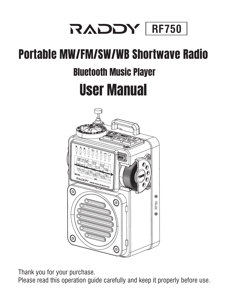

# Portable MW/FM/SW/WB Shortwave Radio

# Bluetooth Music Player

# User Manual



Thank you for your purchase.

Please read this operation guide carefully and keep it properly before use.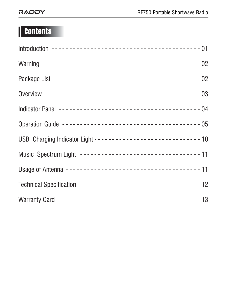# **Contents**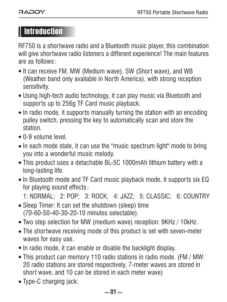## Introduction

RF750 is a shortwave radio and a Bluetooth music player, this combination will give shortwave radio listeners a different experience! The main features are as follows:

- $\bullet$  It can receive FM, MW (Medium wave), SW (Short wave), and WB (Weather band only available in North America), with strong reception sensitivity.
- Using high-tech audio technology, it can play music via Bluetooth and supports up to 256g TF Card music playback.
- In radio mode, it supports manually turning the station with an encoding pulley switch, pressing the key to automatically scan and store the station.
- 0-9 volume level.
- In each mode state, it can use the "music spectrum light" mode to bring you into a wonderful music melody.
- This product uses a detachable BL-5C 1000mAh lithium battery with a long-lasting life.
- In Bluetooth mode and TF Card music playback mode, it supports six EQ for playing sound effects:

1: NORMAL; 2: POP; 3: ROCK; 4: JAZZ; 5: CLASSIC; 6: COUNTRY

- Sleep Timer: It can set the shutdown (sleep) time (70-60-50-40-30-20-10 minutes selectable).
- Two step selection for MW (medium wave) reception: 9KHz / 10kHz.
- The shortwave receiving mode of this product is set with seven-meter waves for easy use.
- In radio mode, it can enable or disable the backlight display.
- This product can memory 110 radio stations in radio mode. (FM / MW: 20 radio stations are stored respectively, 7-meter waves are stored in short wave, and 10 can be stored in each meter wave)
- Type-C charging jack.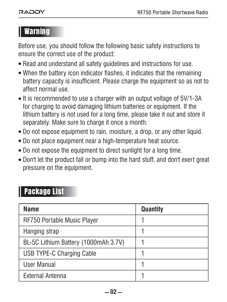## Warning

Before use, you should follow the following basic safety instructions to ensure the correct use of the product:

- Read and understand all safety guidelines and instructions for use.
- When the battery icon indicator flashes, it indicates that the remaining battery capacity is insufficient. Please charge the equipment so as not to affect normal use.
- It is recommended to use a charger with an output voltage of 5V/1-3A for charging to avoid damaging lithium batteries or equipment. If the lithium battery is not used for a long time, please take it out and store it separately. Make sure to charge it once a month.
- Do not expose equipment to rain, moisture, a drop, or any other liquid.
- Do not place equipment near a high-temperature heat source.
- $\bullet$  Do not expose the equipment to direct sunlight for a long time.
- Don't let the product fall or bump into the hard stuff, and don't exert great pressure on the equipment.

## **Package List**

| Name                                 | Quantity |
|--------------------------------------|----------|
| RF750 Portable Music Player          |          |
| Hanging strap                        |          |
| BL-5C Lithium Battery (1000mAh 3.7V) |          |
| USB TYPE-C Charging Cable            |          |
| User Manual                          |          |
| External Antenna                     |          |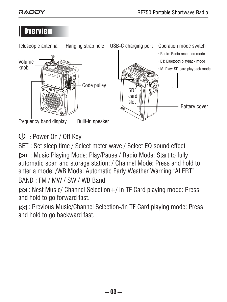## **Overview**



: Power On / Off Key

SET : Set sleep time / Select meter wave / Select EQ sound effect

 : Music Playing Mode: Play/Pause / Radio Mode: Start to fully automatic scan and storage station; / Channel Mode: Press and hold to enter a mode; /WB Mode: Automatic Early Weather Warning "ALERT" BAND : FM / MW / SW / WB Band

 : Nest Music/ Channel Selection+/ In TF Card playing mode: Press and hold to go forward fast.

 : Previous Music/Channel Selection-/In TF Card playing mode: Press and hold to go backward fast.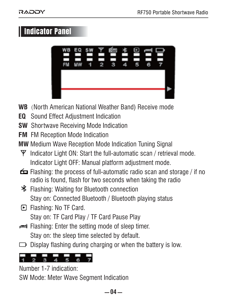## Indicator Panel



- **WB** (North American National Weather Band) Receive mode
- **EQ** Sound Effect Adjustment Indication
- **SW** Shortwave Receiving Mode Indication
- **FM** FM Reception Mode Indication
- **MW** Medium Wave Reception Mode Indication Tuning Signal
	- $\Psi$  Indicator Light ON: Start the full-automatic scan / retrieval mode. Indicator Light OFF: Manual platform adjustment mode.
- Flashing: the process of full-automatic radio scan and storage / if no radio is found, flash for two seconds when taking the radio
- Flashing: Waiting for Bluetooth connection Stay on: Connected Bluetooth / Bluetooth playing status
- Flashing: No TF Card. Stay on: TF Card Play / TF Card Pause Play
- Flashing: Enter the setting mode of sleep timer. Stay on: the sleep time selected by default.
- $\Box$  Display flashing during charging or when the battery is low.

$$
\frac{1}{1} \frac{1}{2} \frac{1}{3} \frac{1}{4} \frac{1}{5} \frac{1}{6} \frac{1}{7}
$$

Number 1-7 indication:

SW Mode: Meter Wave Segment Indication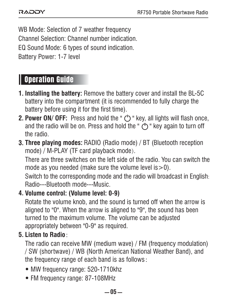WB Mode: Selection of 7 weather frequency Channel Selection: Channel number indication. EQ Sound Mode: 6 types of sound indication. Battery Power: 1-7 level

## Operation Guide

- **Installing the battery:** Remove the battery cover and install the BL-5C **1.** battery into the compartment (it is recommended to fully charge the battery before using it for the first time).
- **2. Power ON/ OFF:** Press and hold the "  $\circlearrowright$  " key, all lights will flash once, and the radio will be on. Press and hold the " $($ <sup>t</sup>) " key again to turn off the radio.
- **Three playing modes:** RADIO (Radio mode) / BT (Bluetooth reception **3.** mode) / M-PLAY (TF card playback mode).

There are three switches on the left side of the radio. You can switch the mode as you needed (make sure the volume level  $is > 0$ ).

Switch to the corresponding mode and the radio will broadcast in English: Radio---Bluetooth mode---Music.

#### **Volume control: (Volume level: 0-9) 4.**

Rotate the volume knob, and the sound is turned off when the arrow is aligned to "0". When the arrow is aligned to "9", the sound has been turned to the maximum volume. The volume can be adjusted appropriately between "0-9" as required.

#### **Listen to Radio**: **5.**

The radio can receive MW (medium wave) / FM (frequency modulation) / SW (shortwave) / WB (North American National Weather Band), and the frequency range of each band is as follows:

- MW frequency range: 520-1710khz
- FM frequency range: 87-108MHz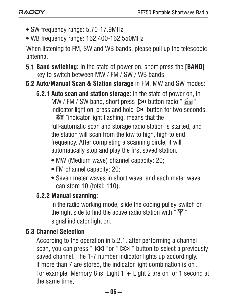- SW frequency range: 5.70-17.9MHz
- WB frequency range: 162.400-162.550MHz

When listening to FM, SW and WB bands, please pull up the telescopic antenna.

- **5.1 Band switching:** In the state of power on, short press the **[BAND]** key to switch between MW / FM / SW / WB bands.
- **5.2 Auto/Manual Scan & Station storage** in FM, MW and SW modes:
	- **5.2.1 Auto scan and station storage:** In the state of power on, In MW / FM / SW band, short press  $\triangleright$ u button radio "  $\widehat{\mathsf{om}}$  " indicator light on, press and hold  $\triangleright$  button for two seconds. "  $\widehat{\in}$  "indicator light flashing, means that the

full-automatic scan and storage radio station is started, and the station will scan from the low to high, high to end frequency. After completing a scanning circle, it will automatically stop and play the first saved station.

- MW (Medium wave) channel capacity: 20;
- FM channel capacity: 20;
- Seven meter waves in short wave, and each meter wave can store 10 (total: 110).

### **5.2.2 Manual scanning:**

In the radio working mode, slide the coding pulley switch on the right side to find the active radio station with  $\mathbf{F}$ " signal indicator light on.

### **5.3 Channel Selection**

According to the operation in 5.2.1, after performing a channel scan, you can press " KKI " or " DDI " button to select a previously saved channel. The 1-7 number indicator lights up accordingly. If more than 7 are stored, the indicator light combination is on: For example, Memory 8 is: Light  $1 +$  Light 2 are on for 1 second at the same time,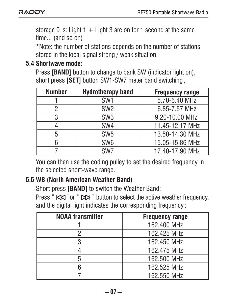storage 9 is: Light  $1 +$  Light 3 are on for 1 second at the same time... (and so on)

\*Note: the number of stations depends on the number of stations stored in the local signal strong / weak situation.

#### **5.4 Shortwave mode:**

Press **[BAND]** button to change to bank SW (indicator light on). short press **[SET]** button SW1-SW7 meter band switching,

| <b>Number</b> | <b>Hydrotherapy band</b> | <b>Frequency range</b> |
|---------------|--------------------------|------------------------|
|               | SW <sub>1</sub>          | 5.70-6.40 MHz          |
|               | SW <sub>2</sub>          | 6.85-7.57 MHz          |
| 3             | SW <sub>3</sub>          | 9.20-10.00 MHz         |
|               | SW <sub>4</sub>          | 11.45-12.17 MHz        |
| 5             | SW <sub>5</sub>          | 13.50-14.30 MHz        |
| 6             | SW <sub>6</sub>          | 15.05-15.86 MHz        |
|               | SW <sub>7</sub>          | 17.40-17.90 MHz        |

You can then use the coding pulley to set the desired frequency in the selected short-wave range.

#### **WB (North American Weather Band) 5.5**

Short press **[BAND]** to switch the Weather Band;

Press "  $KK$  "or "  $N$ " button to select the active weather frequency, and the digital light indicates the corresponding frequency:

| <b>NOAA</b> transmitter | <b>Frequency range</b> |
|-------------------------|------------------------|
|                         | 162.400 MHz            |
|                         | 162.425 MHz            |
|                         | 162.450 MHz            |
|                         | 162.475 MHz            |
|                         | 162.500 MHz            |
|                         | 162.525 MHz            |
|                         | 162.550 MHz            |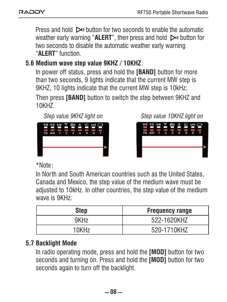Press and hold  $\triangleright$  button for two seconds to enable the automatic weather early warning "**ALERT**", then press and hold **D**u button for two seconds to disable the automatic weather early warning "**ALERT**" function.

#### **5.6 Medium wave step value 9KHZ / 10KHZ**:

In power off status, press and hold the **[BAND]** button for more than two seconds, 9 lights indicate that the current MW step is 9KHZ, 10 lights indicate that the current MW step is 10kHz; Then press **[BAND]** button to switch the step between 9KHZ and 10KHZ.



*Step value 9KHZ light on Step value 10KHZ light on*



\*Note:

In North and South American countries such as the United States, Canada and Mexico, the step value of the medium wave must be adjusted to 10kHz. In other countries, the step value of the medium wave is 9KHz.

| Step             | <b>Frequency range</b> |
|------------------|------------------------|
| 9KH <sub>7</sub> | 522-1620KHZ            |
| 10KHz            | 520-1710KH7            |

### **5.7 Backlight Mode**

In radio operating mode, press and hold the **[MOD]** button for two seconds and turning on. Press and hold the **[MOD]** button for two seconds again to turn off the backlight.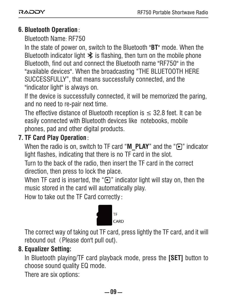## **Bluetooth Operation**: **6.**

Bluetooth Name: RF750

In the state of power on, switch to the Bluetooth "**BT**" mode. When the Bluetooth indicator light  $\mathbf{\hat{x}}$  is flashing, then turn on the mobile phone Bluetooth, find out and connect the Bluetooth name "RF750" in the "available devices". When the broadcasting "THE BLUETOOTH HERE SUCCESSFULLY", that means successfully connected, and the "indicator light" is always on.

If the device is successfully connected, it will be memorized the paring, and no need to re-pair next time.

The effective distance of Bluetooth reception is  $\leq$  32.8 feet. It can be easily connected with Bluetooth devices like notebooks, mobile phones, pad and other digital products.

## **TF Card Play Operation**: **7.**

When the radio is on, switch to TF card "**M\_PLAY**" and the "**F**)" indicator light flashes, indicating that there is no TF card in the slot.

Turn to the back of the radio, then insert the TF card in the correct direction, then press to lock the place.

When TF card is inserted, the " " indicator light will stay on, then the music stored in the card will automatically play.

How to take out the TF Card correctly:



The correct way of taking out TF card, press lightly the TF card, and it will rebound out (Please don't pull out).

#### **Equalizer Setting: 8.**

In Bluetooth playing/TF card playback mode, press the **[SET]** button to choose sound quality EQ mode.

There are six options: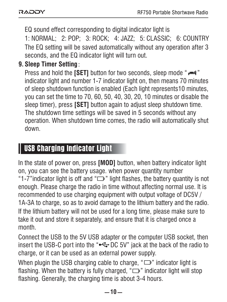EQ sound effect corresponding to digital indicator light is 1: NORMAL; 2: POP; 3: ROCK; 4: JAZZ; 5: CLASSIC; 6: COUNTRY The EQ setting will be saved automatically without any operation after 3 seconds, and the EQ indicator light will turn out.

## **Sleep Timer Setting**: **9.**

Press and hold the **[SET]** button for two seconds, sleep mode " $\rightleftharpoons$ " indicator light and number 1-7 indicator light on, then means 70 minutes of sleep shutdown function is enabled (Each light represents10 minutes, you can set the time to 70, 60, 50, 40, 30, 20, 10 minutes or disable the sleep timer), press **[SET]** button again to adjust sleep shutdown time. The shutdown time settings will be saved in 5 seconds without any operation. When shutdown time comes, the radio will automatically shut down.

## USB Charging Indicator Light

In the state of power on, press **[MOD]** button, when battery indicator light on, you can see the battery usage. when power quantity number "1-7" indicator light is off and " $\Box$ " light flashes, the battery quantity is not enough. Please charge the radio in time without affecting normal use. It is recommended to use charging equipment with output voltage of DC5V / 1A-3A to charge, so as to avoid damage to the lithium battery and the radio. If the lithium battery will not be used for a long time, please make sure to take it out and store it separately, and ensure that it is charged once a month.

Connect the USB to the 5V USB adapter or the computer USB socket, then insert the USB-C port into the " $\leftrightarrow$  DC 5V" jack at the back of the radio to charge, or it can be used as an external power supply.

When plugin the USB charging cable to charge, " $\Box$ " indicator light is flashing. When the battery is fully charged, " $\Box$ " indicator light will stop flashing. Generally, the charging time is about 3-4 hours.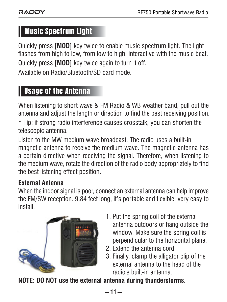## Music Spectrum Light

Quickly press **[MOD]** key twice to enable music spectrum light. The light flashes from high to low, from low to high, interactive with the music beat. Quickly press **[MOD]** key twice again to turn it off. Available on Radio/Bluetooth/SD card mode.

## Usage of the Antenna

When listening to short wave & FM Radio & WB weather band, pull out the antenna and adjust the length or direction to find the best receiving position.

\* Tip: if strong radio interference causes crosstalk, you can shorten the telescopic antenna.

Listen to the MW medium wave broadcast. The radio uses a built-in magnetic antenna to receive the medium wave. The magnetic antenna has a certain directive when receiving the signal. Therefore, when listening to the medium wave, rotate the direction of the radio body appropriately to find the best listening effect position.

#### **External Antenna**

When the indoor signal is poor, connect an external antenna can help improve the FM/SW reception. 9.84 feet long, it's portable and flexible, very easy to inetall



- 1. Put the spring coil of the external antenna outdoors or hang outside the window. Make sure the spring coil is perpendicular to the horizontal plane.
- 2. Extend the antenna cord.
- 3. Finally, clamp the alligator clip of the external antenna to the head of the radio's built-in antenna.

**NOTE: DO NOT use the external antenna during thunderstorms.**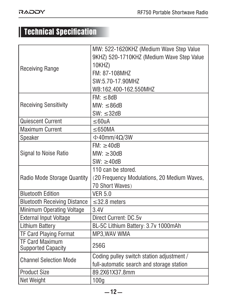## Technical Specification

|                                     | MW: 522-1620KHZ (Medium Wave Step Value     |
|-------------------------------------|---------------------------------------------|
|                                     | 9KHZ) 520-1710KHZ (Medium Wave Step Value   |
| <b>Receiving Range</b>              | 10KHZ)                                      |
|                                     | FM: 87-108MHZ                               |
|                                     | SW:5 70-17 90MH7                            |
|                                     | WB:162.400-162.550MHZ                       |
|                                     | FM: < 8dB                                   |
| <b>Receiving Sensitivity</b>        | MW· < 86dB                                  |
|                                     | $SW: \leq 32dB$                             |
| Quiescent Current                   | $\leq$ 60uA                                 |
| <b>Maximum Current</b>              | $\leq$ 650MA                                |
| Speaker                             | $\Phi$ 40mm/4 $\Omega$ /3W                  |
|                                     | FM: > 40dB                                  |
| <b>Signal to Noise Ratio</b>        | MW: > 30dB                                  |
|                                     | SW: > 40dB                                  |
|                                     | 110 can be stored.                          |
| Radio Mode Storage Quantity         | (20 Frequency Modulations, 20 Medium Waves, |
|                                     | 70 Short Waves)                             |
| <b>Bluetooth Edition</b>            | <b>VFR 50</b>                               |
| <b>Bluetooth Receiving Distance</b> | $\leq$ 32.8 meters                          |
| Minimum Operating Voltage           | 3.4V                                        |
| <b>External Input Voltage</b>       | Direct Current: DC.5v                       |
| Lithium Battery                     | BL-5C Lithium Battery: 3.7v 1000mAh         |
| <b>TF Card Playing Format</b>       | MP3.WAV WMA                                 |
| <b>TF Card Maximum</b>              | 256G                                        |
| <b>Supported Capacity</b>           |                                             |
| <b>Channel Selection Mode</b>       | Coding pulley switch station adjustment /   |
|                                     | full-automatic search and storage station   |
| <b>Product Size</b>                 | 89.2X61X37.8mm                              |
| Net Weight                          | 100 <sub>a</sub>                            |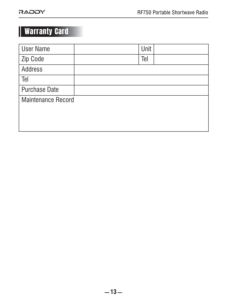# Warranty Card

| <b>User Name</b>     | Unit |  |
|----------------------|------|--|
| Zip Code             | Tel  |  |
| Address              |      |  |
| Tel                  |      |  |
| <b>Purchase Date</b> |      |  |
| Maintenance Record   |      |  |
|                      |      |  |
|                      |      |  |
|                      |      |  |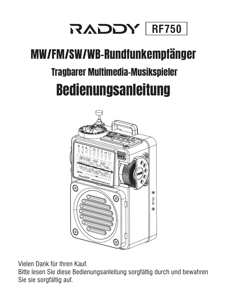

# Tragbarer Multimedia-Musikspieler MW/FM/SW/WB-Rundfunkempfänger Bedienungsanleitung



Vielen Dank für Ihren Kauf.

Bitte lesen Sie diese Bedienungsanleitung sorgfältig durch und bewahren Sie sie sorgfältig auf.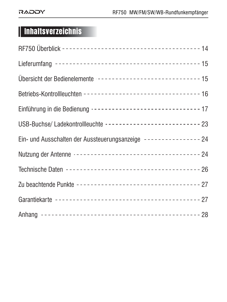# Inhaltsverzeichnis

| Übersicht der Bedienelemente ------------------------------- 15  |  |
|------------------------------------------------------------------|--|
|                                                                  |  |
| Einführung in die Bedienung -------------------------------- 17  |  |
| USB-Buchse/ Ladekontrollleuchte -------------------------- 23    |  |
| Ein- und Ausschalten der Aussteuerungsanzeige --------------- 24 |  |
|                                                                  |  |
|                                                                  |  |
| Zu beachtende Punkte ----------------------------------- 27      |  |
|                                                                  |  |
|                                                                  |  |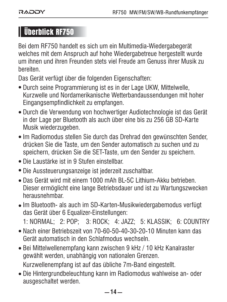## Überblick RF750

Bei dem RF750 handelt es sich um ein Multimedia-Wiedergabegerät welches mit dem Anspruch auf hohe Wiedergabetreue hergestellt wurde um ihnen und ihren Freunden stets viel Freude am Genuss ihrer Musik zu bereiten.

Das Gerät verfügt über die folgenden Eigenschaften:

- Durch seine Programmierung ist es in der Lage UKW, Mittelwelle, Kurzwelle und Nordamerikanische Wetterbandaussendungen mit hoher Eingangsempfindlichkeit zu empfangen.
- Durch die Verwendung von hochwertiger Audiotechnologie ist das Gerät in der Lage per Bluetooth als auch über eine bis zu 256 GB SD-Karte Musik wiederzugeben.
- Im Radiomodus stellen Sie durch das Drehrad den gewünschten Sender, drücken Sie die Taste, um den Sender automatisch zu suchen und zu speichern, drücken Sie die SET-Taste, um den Sender zu speichern.
- Die Laustärke ist in 9 Stufen einstellbar.
- Die Aussteuerungsanzeige ist jederzeit zuschaltbar.
- Das Gerät wird mit einem 1000 mAh BL-5C Lithium-Akku betrieben. Dieser ermöglicht eine lange Betriebsdauer und ist zu Wartungszwecken herausnehmbar.
- Im Bluetooth- als auch im SD-Karten-Musikwiedergabemodus verfügt das Gerät über 6 Equalizer-Einstellungen:

1: NORMAL; 2: POP; 3: ROCK; 4: JAZZ; 5: KLASSIK; 6: COUNTRY

- Nach einer Betriebszeit von 70-60-50-40-30-20-10 Minuten kann das Gerät automatisch in den Schlafmodus wechseln.
- Bei Mittelwellenempfang kann zwischen 9 kHz / 10 kHz Kanalraster gewählt werden, unabhängig von nationalen Grenzen. Kurzwellenempfang ist auf das übliche 7m-Band eingestellt.
- Die Hintergrundbeleuchtung kann im Radiomodus wahlweise an- oder ausgeschaltet werden.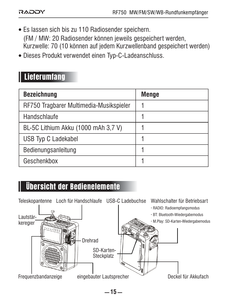- Es lassen sich bis zu 110 Radiosender speichern. (FM / MW: 20 Radiosender können jeweils gespeichert werden, Kurzwelle: 70 (10 können auf jedem Kurzwellenband gespeichert werden)
- Dieses Produkt verwendet einen Typ-C-Ladeanschluss.

## Lieferumfang

| <b>Bezeichnung</b>                      | Menge |
|-----------------------------------------|-------|
| RF750 Tragbarer Multimedia-Musikspieler |       |
| Handschlaufe                            |       |
| BL-5C Lithium Akku (1000 mAh 3,7 V)     |       |
| USB Typ C Ladekabel                     |       |
| Bedienungsanleitung                     |       |
| Geschenkbox                             |       |

## Übersicht der Bedienelemente

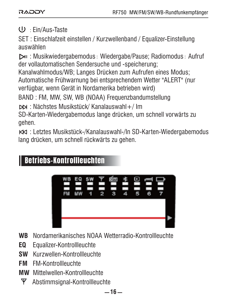#### : Ein/Aus-Taste

SET : Einschlafzeit einstellen / Kurzwellenband / Equalizer-Einstellung auswählen

 : Musikwiedergabemodus: Wiedergabe/Pause; Radiomodus: Aufruf der vollautomatischen Sendersuche und -speicherung;

Kanalwahlmodus/WB; Langes Drücken zum Aufrufen eines Modus; Automatische Frühwarnung bei entsprechendem Wetter "ALERT" (nur verfügbar, wenn Gerät in Nordamerika betrieben wird)

BAND : FM, MW, SW, WB (NOAA) Frequenzbandumstellung

: Nächstes Musikstück/ Kanalauswahl+/ Im

SD-Karten-Wiedergabemodus lange drücken, um schnell vorwärts zu gehen.

 : Letztes Musikstück-/Kanalauswahl-/In SD-Karten-Wiedergabemodus lang drücken, um schnell rückwärts zu gehen.

## Betriebs-Kontrollleuchten



- **WB** Nordamerikanisches NOAA Wetterradio-Kontrollleuchte
- **EQ** Equalizer-Kontrollleuchte
- **SW** Kurzwellen-Kontrollleuchte
- **FM** FM-Kontrollleuchte
- **MW** Mittelwellen-Kontrollleuchte
	- $\Psi$  Abstimmsignal-Kontrollleuchte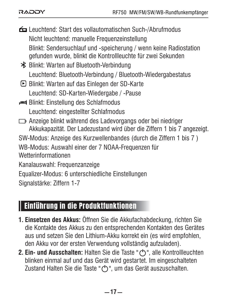| Leuchtend: Start des vollautomatischen Such-/Abrufmodus                                                                                 |
|-----------------------------------------------------------------------------------------------------------------------------------------|
| Nicht leuchtend: manuelle Frequenzeinstellung                                                                                           |
| Blinkt: Sendersuchlauf und -speicherung / wenn keine Radiostation<br>gefunden wurde, blinkt die Kontrollleuchte für zwei Sekunden       |
| <b>米</b> Blinkt: Warten auf Bluetooth-Verbindung                                                                                        |
| Leuchtend: Bluetooth-Verbindung / Bluetooth-Wiedergabestatus                                                                            |
| ■ Blinkt: Warten auf das Einlegen der SD-Karte                                                                                          |
| Leuchtend: SD-Karten-Wiedergabe / -Pause                                                                                                |
| Blinkt: Einstellung des Schlafmodus                                                                                                     |
| Leuchtend: eingestellter Schlafmodus                                                                                                    |
| □ Anzeige blinkt während des Ladevorgangs oder bei niedriger<br>Akkukapazität. Der Ladezustand wird über die Ziffern 1 bis 7 angezeigt. |
| SW-Modus: Anzeige des Kurzwellenbandes (durch die Ziffern 1 bis 7)                                                                      |
| WB-Modus: Auswahl einer der 7 NOAA-Frequenzen für<br>Wetterinformationen                                                                |
| Kanalauswahl: Frequenzanzeige                                                                                                           |
| Equalizer-Modus: 6 unterschiedliche Einstellungen                                                                                       |
| Signalstärke: Ziffern 1-7                                                                                                               |

## Einführung in die Produktfunktionen

- **Einsetzen des Akkus:** Öffnen Sie die Akkufachabdeckung, richten Sie **1.** die Kontakte des Akkus zu den entsprechenden Kontakten des Gerätes aus und setzen Sie den Lithium-Akku korrekt ein (es wird empfohlen, den Akku vor der ersten Verwendung vollständig aufzuladen).
- **Ein- und Ausschalten:** Halten Sie die Taste " ", alle Kontrollleuchten **2.**blinken einmal auf und das Gerät wird gestartet. Im eingeschalteten Zustand Halten Sie die Taste "(')", um das Gerät auszuschalten.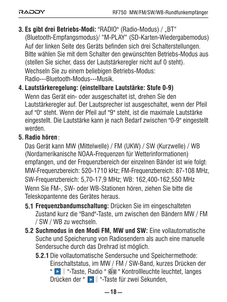- **3. Es gibt drei Betriebs-Modi:** "RADIO" (Radio-Modus) / "BT" (Bluetooth-Empfangsmodus)/ "M-PLAY" (SD-Karten-Wiedergabemodus) Auf der linken Seite des Geräts befinden sich drei Schalterstellungen. Bitte wählen Sie mit dem Schalter den gewünschten Betriebs-Modus aus (stellen Sie sicher, dass der Lautstärkeregler nicht auf 0 steht). Wechseln Sie zu einem beliebigen Betriebs-Modus: Radio---Bluetooth-Modus---Musik.
- **Lautstärkeregelung: (einstellbare Lautstärke: Stufe 0-9) 4.**

Wenn das Gerät ein- oder ausgeschaltet ist, drehen Sie den Lautstärkeregler auf. Der Lautsprecher ist ausgeschaltet, wenn der Pfeil auf "0" steht. Wenn der Pfeil auf "9" steht, ist die maximale Lautstärke eingestellt. Die Lautstärke kann je nach Bedarf zwischen "0-9" eingestellt werden.

#### **Radio hören**: **5.**

Das Gerät kann MW (Mittelwelle) / FM (UKW) / SW (Kurzwelle) / WB (Nordamerikanische NOAA-Frequenzen für Wetterinformationen) empfangen, und der Frequenzbereich der einzelnen Bänder ist wie folgt: MW-Frequenzbereich: 520-1710 kHz; FM-Frequenzbereich: 87-108 MHz, SW-Frequenzbereich: 5,70-17,9 MHz; WB: 162,400-162,550 MHz Wenn Sie FM-, SW- oder WB-Stationen hören, ziehen Sie bitte die Teleskopantenne des Gerätes heraus.

- **5.1 Frequenzbandumschaltung:** Drücken Sie im eingeschalteten Zustand kurz die "Band"-Taste, um zwischen den Bändern MW / FM / SW / WB zu wechseln.
- **5.2 Suchmodus in den Modi FM, MW und SW:** Eine vollautomatische Suche und Speicherung von Radiosendern als auch eine manuelle Sendersuche durch das Drehrad ist möglich.
	- **5.2.1** Die vollautomatische Sendersuche und Speichermethode: Einschaltstatus, im MW / FM / SW-Band, kurzes Drücken der " Bull "-Taste, Radio "  $\widehat{\otimes}$  " Kontrollleuchte leuchtet, langes Drücken der " ‖"-Taste für zwei Sekunden,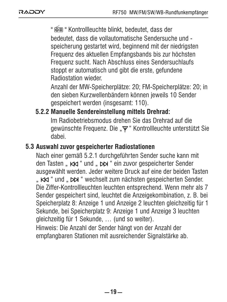"  $\circledast$  " Kontrollleuchte blinkt, bedeutet, dass der bedeutet, dass die vollautomatische Sendersuche und speicherung gestartet wird, beginnend mit der niedrigsten Frequenz des aktuellen Empfangsbands bis zur höchsten Frequenz sucht. Nach Abschluss eines Sendersuchlaufs stoppt er automatisch und gibt die erste, gefundene Radiostation wieder.

Anzahl der MW-Speicherplätze: 20; FM-Speicherplätze: 20; in den sieben Kurzwellenbändern können jeweils 10 Sender gespeichert werden (insgesamt: 110).

### **Manuelle Sendereinstellung mittels Drehrad: 5.2.2**

Im Radiobetriebsmodus drehen Sie das Drehrad auf die gewünschte Frequenz. Die " $\Psi$ " Kontrollleuchte unterstützt Sie dabei.

#### **5.3 Auswahl zuvor gespeicherter Radiostationen**

Nach einer gemäß 5.2.1 durchgeführten Sender suche kann mit den Tasten " KK " und " DN " ein zuvor gespeicherter Sender ausgewählt werden. Jeder weitere Druck auf eine der beiden Tasten " KK " und " DN " wechselt zum nächsten gespeicherten Sender. Die Ziffer-Kontrollleuchten leuchten entsprechend. Wenn mehr als 7 Sender gespeichert sind, leuchtet die Anzeigekombination, z. B. bei Speicherplatz 8: Anzeige 1 und Anzeige 2 leuchten gleichzeitig für 1 Sekunde, bei Speicherplatz 9: Anzeige 1 und Anzeige 3 leuchten gleichzeitig für 1 Sekunde, … (und so weiter).

Hinweis: Die Anzahl der Sender hängt von der Anzahl der empfangbaren Stationen mit ausreichender Signalstärke ab.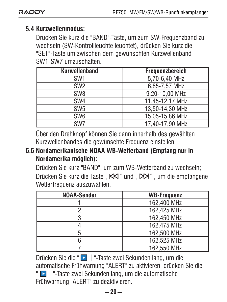### **5.4 Kurzwellenmodus:**

Drücken Sie kurz die "BAND"-Taste, um zum SW-Frequenzband zu wechseln (SW-Kontrollleuchte leuchtet), drücken Sie kurz die "SET"-Taste um zwischen dem gewünschten Kurzwellenband SW1-SW7 umzuschalten.

| <b>Kurwellenband</b> | Frequenzbereich |
|----------------------|-----------------|
| SW <sub>1</sub>      | 5,70-6,40 MHz   |
| SW <sub>2</sub>      | 6.85-7.57 MHz   |
| SW <sub>3</sub>      | 9.20-10.00 MHz  |
| SW <sub>4</sub>      | 11,45-12,17 MHz |
| SW <sub>5</sub>      | 13.50-14.30 MHz |
| SW <sub>6</sub>      | 15,05-15,86 MHz |
| SW7                  | 17.40-17.90 MHz |

Über den Drehknopf können Sie dann innerhalb des gewählten Kurzwellenbandes die gewünschte Frequenz einstellen.

#### **Nordamerikanische NOAA WB-Wetterband (Empfang nur in 5.5 Nordamerika möglich):**

Drücken Sie kurz "BAND", um zum WB-Wetterband zu wechseln; Drücken Sie kurz die Taste " KKI " und " DDI" , um die empfangene Wetterfrequenz auszuwählen.

| <b>NOAA-Sender</b> | <b>WB-Frequenz</b> |
|--------------------|--------------------|
|                    | 162.400 MHz        |
|                    | 162.425 MHz        |
|                    | 162.450 MHz        |
|                    | 162.475 MHz        |
|                    | 162.500 MHz        |
|                    | 162.525 MHz        |
|                    | 162.550 MHz        |

Drücken Sie die " $\blacksquare$  || "-Taste zwei Sekunden lang, um die automatische Frühwarnung "ALERT" zu aktivieren, drücken Sie die " ‖"-Taste zwei Sekunden lang, um die automatische Frühwarnung "ALERT" zu deaktivieren.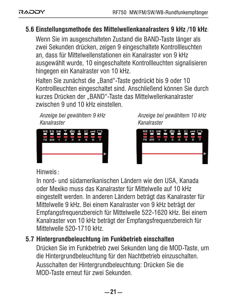#### **5.6 Einstellungsmethode des Mittelwellenkanalrasters 9 kHz /10 kHz**:

Wenn Sie im ausgeschalteten Zustand die BAND-Taste länger als zwei Sekunden drücken, zeigen 9 eingeschaltete Kontrollleuchten an, dass für Mittelwellenstationen ein Kanalraster von 9 kHz ausgewählt wurde, 10 eingeschaltete Kontrollleuchten signalisieren hingegen ein Kanalraster von 10 kHz.

Halten Sie zunächst die "Band"-Taste gedrückt bis 9 oder 10 Kontrollleuchten eingeschaltet sind. Anschließend können Sie durch kurzes Drücken der "BAND"-Taste das Mittelwellenkanalraster zwischen 9 und 10 kHz einstellen.

*Anzeige bei gewähltem 9 kHz Kanalraster*



*Anzeige bei gewähltem 10 kHz Kanalraster*



#### Hinweis:

In nord- und südamerikanischen Ländern wie den USA, Kanada oder Mexiko muss das Kanalraster für Mittelwelle auf 10 kHz eingestellt werden. In anderen Ländern beträgt das Kanalraster für Mittelwelle 9 kHz. Bei einem Kanalraster von 9 kHz beträgt der Empfangsfrequenzbereich für Mittelwelle 522-1620 kHz. Bei einem Kanalraster von 10 kHz beträgt der Empfangsfrequenzbereich für Mittelwelle 520-1710 kHz.

#### **5.7 Hintergrundbeleuchtung im Funkbetrieb einschalten**

Drücken Sie im Funkbetrieb zwei Sekunden lang die MOD-Taste, um die Hintergrundbeleuchtung für den Nachtbetrieb einzuschalten. Ausschalten der Hintergrundbeleuchtung: Drücken Sie die MOD-Taste erneut für zwei Sekunden.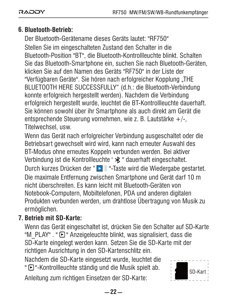## **Bluetooth-Betrieb: 6.**

Der Bluetooth-Gerätename dieses Geräts lautet: "RF750" Stellen Sie im eingeschalteten Zustand den Schalter in die Bluetooth-Position "BT", die Bluetooth-Kontrollleuchte blinkt. Schalten Sie das Bluetooth-Smartphone ein, suchen Sie nach Bluetooth-Geräten, klicken Sie auf den Namen des Geräts "RF750" in der Liste der "Verfügbaren Geräte". Sie hören nach erfolgreicher Kopplung "THE BLUETOOTH HERE SUCCESSFULLY" (d.h.: die Bluetooth-Verbindung konnte erfolgreich hergestellt werden). Nachdem die Verbindung erfolgreich hergestellt wurde, leuchtet die BT-Kontrollleuchte dauerhaft. Sie können sowohl über ihr Smartphone als auch direkt am Gerät die entsprechende Steuerung vornehmen, wie z. B. Lautstärke  $+/-$ Titelwechsel, usw.

Wenn das Gerät nach erfolgreicher Verbindung ausgeschaltet oder die Betriebsart gewechselt wird wird, kann nach erneuter Auswahl des BT-Modus ohne erneutes Koppeln verbunden werden. Bei aktiver Verbindung ist die Kontrollleuchte '  $\mathcal{\ast}$ " dauerhaft eingeschaltet. Durch kurzes Drücken der " D || "-Taste wird die Wiedergabe gestartet. Die maximale Entfernung zwischen Smartphone und Gerät darf 10 m nicht überschreiten. Es kann leicht mit Bluetooth-Geräten von Notebook-Computern, Mobiltelefonen, PDA und anderen digitalen Produkten verbunden werden, um drahtlose Übertragung von Musik zu ermöglichen.

### **Betrieb mit SD-Karte: 7.**

Wenn das Gerät eingeschaltet ist, drücken Sie den Schalter auf SD-Karte "M\_PLAY" . "  $\bigcap$  " Anzeigeleuchte blinkt, was signalisiert, dass die SD-Karte eingelegt werden kann. Setzen Sie die SD-Karte mit der richtigen Ausrichtung in den SD-Kartenschlitz ein.

Nachdem die SD-Karte eingesetzt wurde, leuchtet die "  $\bigcirc$ "-Kontrollleuchte ständig und die Musik spielt ab.

Anleitung zum richtigen Einsetzen der SD-Karte:

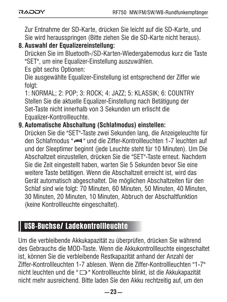Zur Entnahme der SD-Karte, drücken Sie leicht auf die SD-Karte, und Sie wird herausspringen (Bitte ziehen Sie die SD-Karte nicht heraus).

**8. Auswahl der Equalizereinstellung:**

Drücken Sie im Bluetooth-/SD-Karten-Wiedergabemodus kurz die Taste "SET", um eine Equalizer-Einstellung auszuwählen.

Es gibt sechs Optionen:

Die ausgewählte Equalizer-Einstellung ist entsprechend der Ziffer wie folgt:

1: NORMAL; 2: POP; 3: ROCK; 4: JAZZ; 5: KLASSIK; 6: COUNTRY Stellen Sie die aktuelle Equalizer-Einstellung nach Betätigung der Set-Taste nicht innerhalb von 3 Sekunden um erlischt die Equalizer-Kontrollleuchte.

#### **9. Automatische Abschaltung (Schlafmodus) einstellen:**

Drücken Sie die "SET"-Taste zwei Sekunden lang, die Anzeigeleuchte für den Schlafmodus " " und die Ziffer-Kontrollleuchten 1-7 leuchten auf und der Sleeptimer beginnt (jede Leuchte steht für 10 Minuten). Um Die Abschaltzeit einzustellen, drücken Sie die "SET"-Taste erneut. Nachdem Sie die Zeit eingestellt haben, warten Sie 5 Sekunden bevor Sie eine weitere Taste betätigen. Wenn die Abschaltzeit erreicht ist, wird das Gerät automatisch abgeschaltet. Die möglichen Abschaltzeiten für den Schlaf sind wie folgt: 70 Minuten, 60 Minuten, 50 Minuten, 40 Minuten, 30 Minuten, 20 Minuten, 10 Minuten, Abbruch der Abschaltfunktion (keine Kontrollleuchte eingeschaltet).

## USB-Buchse/ Ladekontrollleuchte

Um die verbleibende Akkukapazität zu überprüfen, drücken Sie während des Gebrauchs die MOD-Taste. Wenn die Akkukontrollleuchte eingeschaltet ist, können Sie die verbleibende Restkapazität anhand der Anzahl der Ziffer-Kontrollleuchten 1-7 ablesen. Wenn die Ziffer-Kontrollleuchten "1-7" nicht leuchten und die " □ " Kontrollleuchte blinkt, ist die Akkukapazität nicht mehr ausreichend. Bitte laden Sie den Akku rechtzeitig auf, um den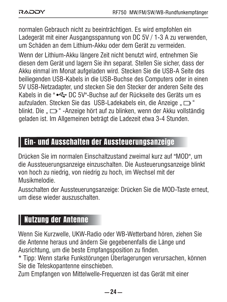normalen Gebrauch nicht zu beeinträchtigen. Es wird empfohlen ein Ladegerät mit einer Ausgangsspannung von DC 5V / 1-3 A zu verwenden, um Schäden an dem Lithium-Akku oder dem Gerät zu vermeiden. Wenn der Lithium-Akku längere Zeit nicht benutzt wird, entnehmen Sie diesen dem Gerät und lagern Sie ihn separat. Stellen Sie sicher, dass der Akku einmal im Monat aufgeladen wird. Stecken Sie die USB-A Seite des beiliegenden USB-Kabels in die USB-Buchse des Computers oder in einen 5V USB-Netzadapter, und stecken Sie den Stecker der anderen Seite des Kabels in die " $\leftarrow$ DC 5V"-Buchse auf der Rückseite des Geräts um es aufzuladen. Stecken Sie das USB-Ladekabels ein, die Anzeige " blinkt. Die " $\implies$ " -Anzeige hört auf zu blinken, wenn der Akku vollständig geladen ist. Im Allgemeinen beträgt die Ladezeit etwa 3-4 Stunden.

## Ein- und Ausschalten der Aussteuerungsanzeige

Drücken Sie im normalen Einschaltzustand zweimal kurz auf "MOD", um die Aussteuerungsanzeige einzuschalten. Die Austeuerungsanzeige blinkt von hoch zu niedrig, von niedrig zu hoch, im Wechsel mit der Musikmelodie.

Ausschalten der Aussteuerungsanzeige: Drücken Sie die MOD-Taste erneut, um diese wieder auszuschalten.

## Nutzung der Antenne

Wenn Sie Kurzwelle, UKW-Radio oder WB-Wetterband hören, ziehen Sie die Antenne heraus und ändern Sie gegebenenfalls die Länge und Ausrichtung, um die beste Empfangsposition zu finden.

\* Tipp: Wenn starke Funkstörungen Überlagerungen verursachen, können Sie die Teleskopantenne einschieben.

Zum Empfangen von Mittelwelle-Frequenzen ist das Gerät mit einer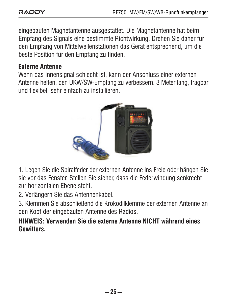eingebauten Magnetantenne ausgestattet. Die Magnetantenne hat beim Empfang des Signals eine bestimmte Richtwirkung. Drehen Sie daher für den Empfang von Mittelwellenstationen das Gerät entsprechend, um die beste Position für den Empfang zu finden.

#### **Externe Antenne**

Wenn das Innensignal schlecht ist, kann der Anschluss einer externen Antenne helfen, den UKW/SW-Empfang zu verbessern. 3 Meter lang, tragbar und flexibel, sehr einfach zu installieren.



1. Legen Sie die Spiralfeder der externen Antenne ins Freie oder hängen Sie sie vor das Fenster. Stellen Sie sicher, dass die Federwindung senkrecht zur horizontalen Ebene steht.

2. Verlängern Sie das Antennenkabel.

3. Klemmen Sie abschließend die Krokodilklemme der externen Antenne an den Kopf der eingebauten Antenne des Radios.

**HINWEIS: Verwenden Sie die externe Antenne NICHT während eines Gewitters.**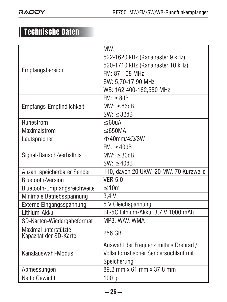# Technische Daten

| Empfangsbereich              | MW:                                    |  |
|------------------------------|----------------------------------------|--|
|                              | 522-1620 kHz (Kanalraster 9 kHz)       |  |
|                              | 520-1710 kHz (Kanalraster 10 kHz)      |  |
|                              | FM: 87-108 MHz                         |  |
|                              | SW: 5.70-17.90 MHz                     |  |
|                              | WB: 162.400-162.550 MHz                |  |
| Empfangs-Empfindlichkeit     | FM: <8dR                               |  |
|                              | $MW: \leq 86dB$                        |  |
|                              | $SW: \leq 32dB$                        |  |
| Ruhestrom                    | $<$ 60 $\mu$ A                         |  |
| Maximalstrom                 | $\leq$ 650MA                           |  |
| Lautsprecher                 | $\Phi$ 40mm/4 $\Omega$ /3W             |  |
| Signal-Rausch-Verhältnis     | FM: > 40dB                             |  |
|                              | $MW: \geq 30dB$                        |  |
|                              | $SW: \geq 40dB$                        |  |
| Anzahl speicherbarer Sender  | 110, davon 20 UKW, 20 MW, 70 Kurzwelle |  |
| <b>Bluetooth-Version</b>     | VFR <sub>50</sub>                      |  |
| Bluetooth-Empfangsreichweite | $\leq 10m$                             |  |
| Minimale Betriebsspannung    | 3.4V                                   |  |
| Externe Eingangsspannung     | 5 V Gleichspannung                     |  |
| I ithium-Akku                | BL-5C Lithium-Akku: 3,7 V 1000 mAh     |  |
| SD-Karten-Wiedergabeformat   | MP3, WAV, WMA                          |  |
| Maximal unterstützte         | 256 GB                                 |  |
| Kapazität der SD-Karte       |                                        |  |
|                              | Auswahl der Frequenz mittels Drehrad / |  |
| Kanalauswahl-Modus           | Vollautomatischer Sendersuchlauf mit   |  |
|                              | Speicherung                            |  |
| Abmessungen                  | 89,2 mm x 61 mm x 37,8 mm              |  |
| Netto Gewicht                | 100 <sub>a</sub>                       |  |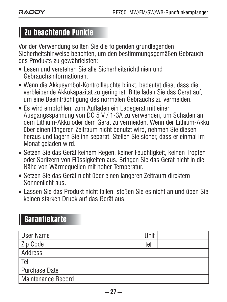## Zu beachtende Punkte

Vor der Verwendung sollten Sie die folgenden grundlegenden Sicherheitshinweise beachten, um den bestimmungsgemäßen Gebrauch des Produkts zu gewährleisten:

- Lesen und verstehen Sie alle Sicherheitsrichtlinien und Gebrauchsinformationen.
- Wenn die Akkusymbol-Kontrollleuchte blinkt, bedeutet dies, dass die verbleibende Akkukapazität zu gering ist. Bitte laden Sie das Gerät auf, um eine Beeinträchtigung des normalen Gebrauchs zu vermeiden.
- Es wird empfohlen, zum Aufladen ein Ladegerät mit einer Ausgangsspannung von DC 5 V / 1-3A zu verwenden, um Schäden an dem Lithium-Akku oder dem Gerät zu vermeiden. Wenn der Lithium-Akku über einen längeren Zeitraum nicht benutzt wird, nehmen Sie diesen heraus und lagern Sie ihn separat. Stellen Sie sicher, dass er einmal im Monat geladen wird.
- Setzen Sie das Gerät keinem Regen, keiner Feuchtigkeit, keinen Tropfen oder Spritzern von Flüssigkeiten aus. Bringen Sie das Gerät nicht in die Nähe von Wärmequellen mit hoher Temperatur.
- Setzen Sie das Gerät nicht über einen längeren Zeitraum direktem Sonnenlicht aus.
- Lassen Sie das Produkt nicht fallen, stoßen Sie es nicht an und üben Sie keinen starken Druck auf das Gerät aus.

## Garantiekarte

| User Name          | Unit |  |
|--------------------|------|--|
| Zip Code           | Tel  |  |
| Address            |      |  |
| Tel                |      |  |
| Purchase Date      |      |  |
| Maintenance Record |      |  |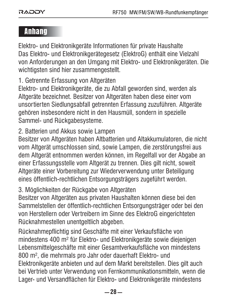## Anhang

Elektro- und Elektronikgeräte Informationen für private Haushalte Das Elektro- und Elektronikgerätegesetz (ElektroG) enthält eine Vielzahl von Anforderungen an den Umgang mit Elektro- und Elektronikgeräten. Die wichtigsten sind hier zusammengestellt.

1. Getrennte Erfassung von Altgeräten

Elektro- und Elektronikgeräte, die zu Abfall geworden sind, werden als Altgeräte bezeichnet. Besitzer von Altgeräten haben diese einer vom unsortierten Siedlungsabfall getrennten Erfassung zuzuführen. Altgeräte gehören insbesondere nicht in den Hausmüll, sondern in spezielle Sammel- und Rückgabesysteme.

2. Batterien und Akkus sowie Lampen

Besitzer von Altgeräten haben Altbatterien und Altakkumulatoren, die nicht vom Altgerät umschlossen sind, sowie Lampen, die zerstörungsfrei aus dem Altgerät entnommen werden können, im Regelfall vor der Abgabe an einer Erfassungsstelle vom Altgerät zu trennen. Dies gilt nicht, soweit Altgeräte einer Vorbereitung zur Wiederverwendung unter Beteiligung eines öffentlich-rechtlichen Entsorgungsträgers zugeführt werden.

3. Möglichkeiten der Rückgabe von Altgeräten

Besitzer von Altgeräten aus privaten Haushalten können diese bei den Sammelstellen der öffentlich-rechtlichen Entsorgungsträger oder bei den von Herstellern oder Vertreibern im Sinne des ElektroG eingerichteten Rücknahmestellen unentgeltlich abgeben.

Rücknahmepflichtig sind Geschäfte mit einer Verkaufsfläche von mindestens 400 m² für Elektro- und Elektronikgeräte sowie diejenigen Lebensmittelgeschäfte mit einer Gesamtverkaufsfläche von mindestens 800 m², die mehrmals pro Jahr oder dauerhaft Elektro- und Elektronikgeräte anbieten und auf dem Markt bereitstellen. Dies gilt auch bei Vertrieb unter Verwendung von Fernkommunikationsmitteln, wenn die Lager- und Versandflächen für Elektro- und Elektronikgeräte mindestens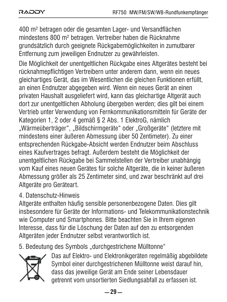400 m² betragen oder die gesamten Lager- und Versandflächen mindestens 800 m² betragen. Vertreiber haben die Rücknahme grundsätzlich durch geeignete Rückgabemöglichkeiten in zumutbarer Entfernung zum jeweiligen Endnutzer zu gewährleisten.

Die Möglichkeit der unentgeltlichen Rückgabe eines Altgerätes besteht bei rücknahmepflichtigen Vertreibern unter anderem dann, wenn ein neues gleichartiges Gerät, das im Wesentlichen die gleichen Funktionen erfüllt, an einen Endnutzer abgegeben wird. Wenn ein neues Gerät an einen privaten Haushalt ausgeliefert wird, kann das gleichartige Altgerät auch dort zur unentgeltlichen Abholung übergeben werden; dies gilt bei einem Vertrieb unter Verwendung von Fernkommunikationsmitteln für Geräte der Kategorien 1, 2 oder 4 gemäß § 2 Abs. 1 ElektroG, nämlich "Wärmeüberträger", "Bildschirmgeräte" oder "Großgeräte" (letztere mit mindestens einer äußeren Abmessung über 50 Zentimeter). Zu einer entsprechenden Rückgabe-Absicht werden Endnutzer beim Abschluss eines Kaufvertrages befragt. Außerdem besteht die Möglichkeit der unentgeltlichen Rückgabe bei Sammelstellen der Vertreiber unabhängig vom Kauf eines neuen Gerätes für solche Altgeräte, die in keiner äußeren Abmessung größer als 25 Zentimeter sind, und zwar beschränkt auf drei Altgeräte pro Geräteart.

#### 4. Datenschutz-Hinweis

Altgeräte enthalten häufig sensible personenbezogene Daten. Dies gilt insbesondere für Geräte der Informations- und Telekommunikationstechnik wie Computer und Smartphones. Bitte beachten Sie in Ihrem eigenen Interesse, dass für die Löschung der Daten auf den zu entsorgenden Altgeräten jeder Endnutzer selbst verantwortlich ist.

5. Bedeutung des Symbols "durchgestrichene Mülltonne"



Das auf Elektro- und Elektronikgeräten regelmäßig abgebildete Symbol einer durchgestrichenen Mülltonne weist darauf hin, dass das jeweilige Gerät am Ende seiner Lebensdauer getrennt vom unsortierten Siedlungsabfall zu erfassen ist.